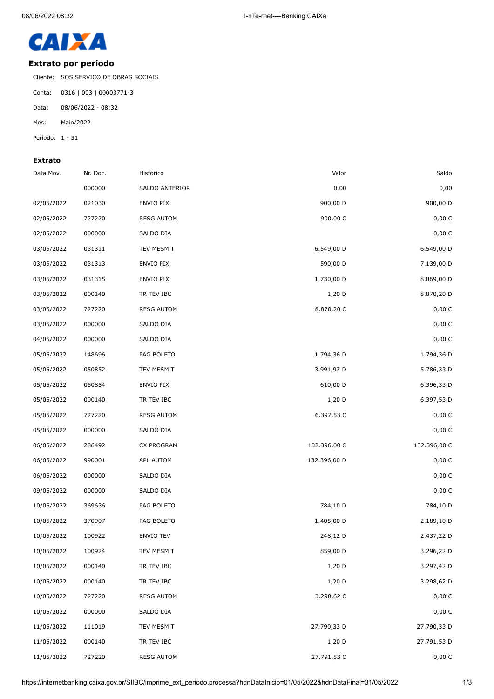

## **Extrato por período**

Cliente: SOS SERVICO DE OBRAS SOCIAIS

Conta: 0316 | 003 | 00003771-3

Data: 08/06/2022 - 08:32

Mês: Maio/2022

Período: 1 - 31

## **Extrato**

| Data Mov.  | Nr. Doc. | Histórico         | Valor        | Saldo        |
|------------|----------|-------------------|--------------|--------------|
|            | 000000   | SALDO ANTERIOR    | 0,00         | 0,00         |
| 02/05/2022 | 021030   | ENVIO PIX         | 900,00 D     | 900,00 D     |
| 02/05/2022 | 727220   | <b>RESG AUTOM</b> | 900,00 C     | 0,00C        |
| 02/05/2022 | 000000   | SALDO DIA         |              | 0,00 C       |
| 03/05/2022 | 031311   | TEV MESM T        | 6.549,00 D   | 6.549,00 D   |
| 03/05/2022 | 031313   | ENVIO PIX         | 590,00 D     | 7.139,00 D   |
| 03/05/2022 | 031315   | ENVIO PIX         | 1.730,00 D   | 8.869,00 D   |
| 03/05/2022 | 000140   | TR TEV IBC        | $1,20$ D     | 8.870,20 D   |
| 03/05/2022 | 727220   | <b>RESG AUTOM</b> | 8.870,20 C   | 0,00 C       |
| 03/05/2022 | 000000   | SALDO DIA         |              | 0,00 C       |
| 04/05/2022 | 000000   | SALDO DIA         |              | 0,00 C       |
| 05/05/2022 | 148696   | PAG BOLETO        | 1.794,36 D   | 1.794,36 D   |
| 05/05/2022 | 050852   | TEV MESM T        | 3.991,97 D   | 5.786,33 D   |
| 05/05/2022 | 050854   | ENVIO PIX         | 610,00 D     | 6.396,33 D   |
| 05/05/2022 | 000140   | TR TEV IBC        | $1,20$ D     | 6.397,53 D   |
| 05/05/2022 | 727220   | <b>RESG AUTOM</b> | 6.397,53 C   | 0,00 C       |
| 05/05/2022 | 000000   | SALDO DIA         |              | 0,00 C       |
| 06/05/2022 | 286492   | CX PROGRAM        | 132.396,00 C | 132.396,00 C |
| 06/05/2022 | 990001   | APL AUTOM         | 132.396,00 D | 0,00 C       |
| 06/05/2022 | 000000   | SALDO DIA         |              | 0,00 C       |
| 09/05/2022 | 000000   | SALDO DIA         |              | 0,00 C       |
| 10/05/2022 | 369636   | PAG BOLETO        | 784,10 D     | 784,10 D     |
| 10/05/2022 | 370907   | PAG BOLETO        | 1.405,00 D   | 2.189,10 D   |
| 10/05/2022 | 100922   | ENVIO TEV         | 248,12 D     | 2.437,22 D   |
| 10/05/2022 | 100924   | TEV MESM T        | 859,00 D     | 3.296,22 D   |
| 10/05/2022 | 000140   | TR TEV IBC        | $1,20$ D     | 3.297,42 D   |
| 10/05/2022 | 000140   | TR TEV IBC        | $1,20$ D     | 3.298,62 D   |
| 10/05/2022 | 727220   | <b>RESG AUTOM</b> | 3.298,62 C   | 0,00 C       |
| 10/05/2022 | 000000   | SALDO DIA         |              | 0,00 C       |
| 11/05/2022 | 111019   | TEV MESM T        | 27.790,33 D  | 27.790,33 D  |
| 11/05/2022 | 000140   | TR TEV IBC        | $1,20$ D     | 27.791,53 D  |
| 11/05/2022 | 727220   | <b>RESG AUTOM</b> | 27.791,53 C  | 0,00 C       |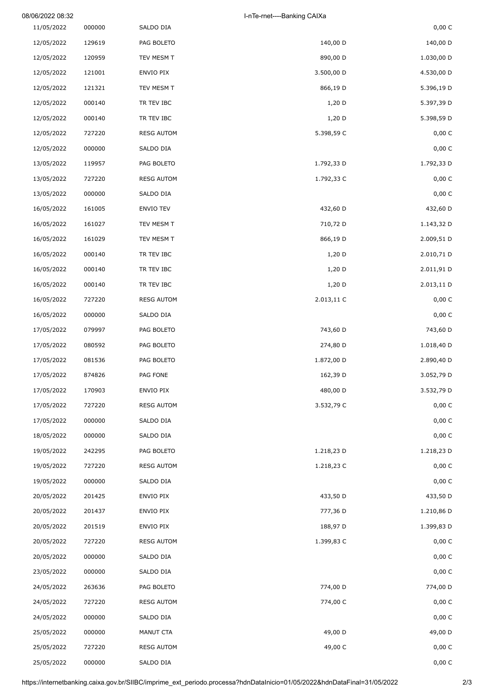| 08/06/2022 08:32 |        |                   | I-nTe-rnet----Banking CAIXa |            |
|------------------|--------|-------------------|-----------------------------|------------|
| 11/05/2022       | 000000 | SALDO DIA         |                             | 0,00 C     |
| 12/05/2022       | 129619 | PAG BOLETO        | 140,00 D                    | 140,00 D   |
| 12/05/2022       | 120959 | TEV MESM T        | 890,00 D                    | 1.030,00 D |
| 12/05/2022       | 121001 | ENVIO PIX         | 3.500,00 D                  | 4.530,00 D |
| 12/05/2022       | 121321 | TEV MESM T        | 866,19 D                    | 5.396,19 D |
| 12/05/2022       | 000140 | TR TEV IBC        | 1,20 D                      | 5.397,39 D |
| 12/05/2022       | 000140 | TR TEV IBC        | $1,20$ D                    | 5.398,59 D |
| 12/05/2022       | 727220 | <b>RESG AUTOM</b> | 5.398,59 C                  | 0,00C      |
| 12/05/2022       | 000000 | SALDO DIA         |                             | 0,00 C     |
| 13/05/2022       | 119957 | PAG BOLETO        | 1.792,33 D                  | 1.792,33 D |
| 13/05/2022       | 727220 | <b>RESG AUTOM</b> | 1.792,33 C                  | 0,00 C     |
| 13/05/2022       | 000000 | SALDO DIA         |                             | 0,00 C     |
| 16/05/2022       | 161005 | <b>ENVIO TEV</b>  | 432,60 D                    | 432,60 D   |
| 16/05/2022       | 161027 | TEV MESM T        | 710,72 D                    | 1.143,32 D |
| 16/05/2022       | 161029 | TEV MESM T        | 866,19 D                    | 2.009,51 D |
| 16/05/2022       | 000140 | TR TEV IBC        | $1,20$ D                    | 2.010,71 D |
| 16/05/2022       | 000140 | TR TEV IBC        | 1,20 D                      | 2.011,91 D |
| 16/05/2022       | 000140 | TR TEV IBC        | $1,20$ D                    | 2.013,11 D |
| 16/05/2022       | 727220 | <b>RESG AUTOM</b> | 2.013,11 C                  | 0,00 C     |
| 16/05/2022       | 000000 | SALDO DIA         |                             | 0,00C      |
| 17/05/2022       | 079997 | PAG BOLETO        | 743,60 D                    | 743,60 D   |
| 17/05/2022       | 080592 | PAG BOLETO        | 274,80 D                    | 1.018,40 D |
| 17/05/2022       | 081536 | PAG BOLETO        | 1.872,00 D                  | 2.890,40 D |
| 17/05/2022       | 874826 | PAG FONE          | 162,39 D                    | 3.052,79 D |
| 17/05/2022       | 170903 | ENVIO PIX         | 480,00 D                    | 3.532,79 D |
| 17/05/2022       | 727220 | <b>RESG AUTOM</b> | 3.532,79 C                  | 0,00 C     |
| 17/05/2022       | 000000 | SALDO DIA         |                             | 0,00C      |
| 18/05/2022       | 000000 | SALDO DIA         |                             | 0,00C      |
| 19/05/2022       | 242295 | PAG BOLETO        | 1.218,23 D                  | 1.218,23 D |
| 19/05/2022       | 727220 | <b>RESG AUTOM</b> | 1.218,23 C                  | $0,00\,$ C |
| 19/05/2022       | 000000 | SALDO DIA         |                             | 0,00C      |
| 20/05/2022       | 201425 | ENVIO PIX         | 433,50 D                    | 433,50 D   |
| 20/05/2022       | 201437 | ENVIO PIX         | 777,36 D                    | 1.210,86 D |
| 20/05/2022       | 201519 | ENVIO PIX         | 188,97 D                    | 1.399,83 D |
| 20/05/2022       | 727220 | <b>RESG AUTOM</b> | 1.399,83 C                  | 0,00 C     |
| 20/05/2022       | 000000 | SALDO DIA         |                             | 0,00C      |
| 23/05/2022       | 000000 | SALDO DIA         |                             | 0,00 C     |
| 24/05/2022       | 263636 | PAG BOLETO        | 774,00 D                    | 774,00 D   |
| 24/05/2022       | 727220 | <b>RESG AUTOM</b> | 774,00 C                    | 0,00 C     |
| 24/05/2022       | 000000 | SALDO DIA         |                             | 0,00 C     |
| 25/05/2022       | 000000 | MANUT CTA         | 49,00 D                     | 49,00 D    |
| 25/05/2022       | 727220 | <b>RESG AUTOM</b> | 49,00 C                     | 0,00 C     |
| 25/05/2022       | 000000 | SALDO DIA         |                             | 0,00 C     |